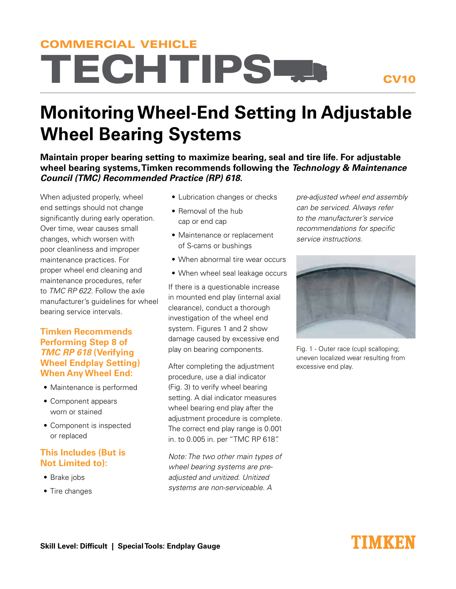# **TECHTIPSED** COMMERCIAL VEHICLE

### CV10

## **Monitoring Wheel-End Setting In Adjustable Wheel Bearing Systems**

**Maintain proper bearing setting to maximize bearing, seal and tire life. For adjustable wheel bearing systems, Timken recommends following the Technology & Maintenance Council (TMC) Recommended Practice (RP) 618.** 

When adjusted properly, wheel end settings should not change significantly during early operation. Over time, wear causes small changes, which worsen with poor cleanliness and improper maintenance practices. For proper wheel end cleaning and maintenance procedures, refer to TMC RP 622. Follow the axle manufacturer's guidelines for wheel bearing service intervals.

#### **Timken Recommends Performing Step 8 of TMC RP 618 (Verifying Wheel Endplay Setting) When Any Wheel End:**

- Maintenance is performed
- Component appears worn or stained
- Component is inspected or replaced

#### **This Includes (But is Not Limited to):**

- Brake jobs
- Tire changes
- Lubrication changes or checks
- Removal of the hub cap or end cap
- Maintenance or replacement of S-cams or bushings
- When abnormal tire wear occurs
- When wheel seal leakage occurs

If there is a questionable increase in mounted end play (internal axial clearance), conduct a thorough investigation of the wheel end system. Figures 1 and 2 show damage caused by excessive end play on bearing components.

After completing the adjustment procedure, use a dial indicator (Fig. 3) to verify wheel bearing setting. A dial indicator measures wheel bearing end play after the adjustment procedure is complete. The correct end play range is 0.001 in. to 0.005 in. per "TMC RP 618".

Note: The two other main types of wheel bearing systems are preadjusted and unitized. Unitized systems are non-serviceable. A

pre-adjusted wheel end assembly can be serviced. Always refer to the manufacturer's service recommendations for specific service instructions.



Fig. 1 - Outer race (cup) scalloping; uneven localized wear resulting from excessive end play.

### I'IMKEN